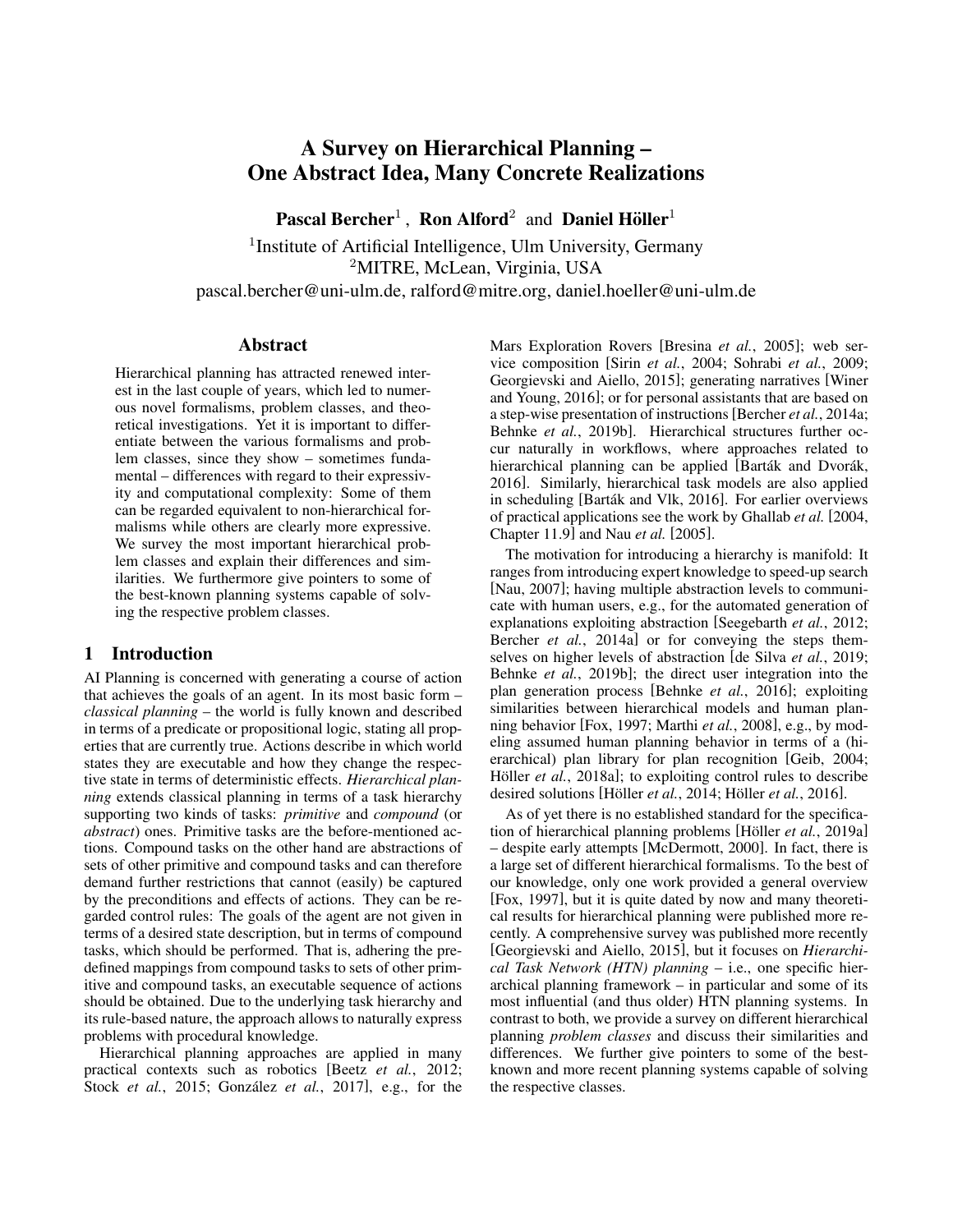# A Survey on Hierarchical Planning – One Abstract Idea, Many Concrete Realizations

Pascal Bercher<sup>1</sup>, Ron Alford<sup>2</sup> and Daniel Höller<sup>1</sup>

<sup>1</sup> Institute of Artificial Intelligence, Ulm University, Germany <sup>2</sup>MITRE, McLean, Virginia, USA pascal.bercher@uni-ulm.de, ralford@mitre.org, daniel.hoeller@uni-ulm.de

## Abstract

Hierarchical planning has attracted renewed interest in the last couple of years, which led to numerous novel formalisms, problem classes, and theoretical investigations. Yet it is important to differentiate between the various formalisms and problem classes, since they show – sometimes fundamental – differences with regard to their expressivity and computational complexity: Some of them can be regarded equivalent to non-hierarchical formalisms while others are clearly more expressive. We survey the most important hierarchical problem classes and explain their differences and similarities. We furthermore give pointers to some of the best-known planning systems capable of solving the respective problem classes.

## 1 Introduction

AI Planning is concerned with generating a course of action that achieves the goals of an agent. In its most basic form – *classical planning* – the world is fully known and described in terms of a predicate or propositional logic, stating all properties that are currently true. Actions describe in which world states they are executable and how they change the respective state in terms of deterministic effects. *Hierarchical planning* extends classical planning in terms of a task hierarchy supporting two kinds of tasks: *primitive* and *compound* (or *abstract*) ones. Primitive tasks are the before-mentioned actions. Compound tasks on the other hand are abstractions of sets of other primitive and compound tasks and can therefore demand further restrictions that cannot (easily) be captured by the preconditions and effects of actions. They can be regarded control rules: The goals of the agent are not given in terms of a desired state description, but in terms of compound tasks, which should be performed. That is, adhering the predefined mappings from compound tasks to sets of other primitive and compound tasks, an executable sequence of actions should be obtained. Due to the underlying task hierarchy and its rule-based nature, the approach allows to naturally express problems with procedural knowledge.

Hierarchical planning approaches are applied in many practical contexts such as robotics [Beetz *et al.*[, 2012;](#page-7-0) Stock *et al.*[, 2015;](#page-8-0) González *et al.*, 2017], e.g., for the Mars Exploration Rovers [\[Bresina](#page-7-2) *et al.*, 2005]; web service composition [Sirin *et al.*[, 2004;](#page-8-1) [Sohrabi](#page-8-2) *et al.*, 2009; [Georgievski and Aiello, 2015\]](#page-7-3); generating narratives [\[Winer](#page-8-3) [and Young, 2016\]](#page-8-3); or for personal assistants that are based on a step-wise presentation of instructions[\[Bercher](#page-7-4) *et al.*, 2014a; Behnke *et al.*[, 2019b\]](#page-7-5). Hierarchical structures further occur naturally in workflows, where approaches related to hierarchical planning can be applied [Barták and Dvorák, [2016\]](#page-6-0). Similarly, hierarchical task models are also applied in scheduling [Barták and Vlk, 2016]. For earlier overviews of practical applications see the work by [Ghallab](#page-7-6) *et al.* [\[2004,](#page-7-6) Chapter 11.9] and Nau *[et al.](#page-8-4)* [\[2005\]](#page-8-4).

The motivation for introducing a hierarchy is manifold: It ranges from introducing expert knowledge to speed-up search [\[Nau, 2007\]](#page-8-5); having multiple abstraction levels to communicate with human users, e.g., for the automated generation of explanations exploiting abstraction [\[Seegebarth](#page-8-6) *et al.*, 2012; Bercher *et al.*[, 2014a\]](#page-7-4) or for conveying the steps themselves on higher levels of abstraction [\[de Silva](#page-7-7) *et al.*, 2019; Behnke *et al.*[, 2019b\]](#page-7-5); the direct user integration into the plan generation process [\[Behnke](#page-7-8) *et al.*, 2016]; exploiting similarities between hierarchical models and human planning behavior [\[Fox, 1997;](#page-7-9) [Marthi](#page-8-7) *et al.*, 2008], e.g., by modeling assumed human planning behavior in terms of a (hierarchical) plan library for plan recognition [\[Geib, 2004;](#page-7-10) Höller *et al.*[, 2018a\]](#page-8-8); to exploiting control rules to describe desired solutions [Höller *et al.*, 2014; Höller *et al.*[, 2016\]](#page-8-9).

As of yet there is no established standard for the specifica-tion of hierarchical planning problems [Höller et al.[, 2019a\]](#page-8-10) – despite early attempts [\[McDermott, 2000\]](#page-8-11). In fact, there is a large set of different hierarchical formalisms. To the best of our knowledge, only one work provided a general overview [\[Fox, 1997\]](#page-7-9), but it is quite dated by now and many theoretical results for hierarchical planning were published more recently. A comprehensive survey was published more recently [\[Georgievski and Aiello, 2015\]](#page-7-3), but it focuses on *Hierarchical Task Network (HTN) planning* – i.e., one specific hierarchical planning framework – in particular and some of its most influential (and thus older) HTN planning systems. In contrast to both, we provide a survey on different hierarchical planning *problem classes* and discuss their similarities and differences. We further give pointers to some of the bestknown and more recent planning systems capable of solving the respective classes.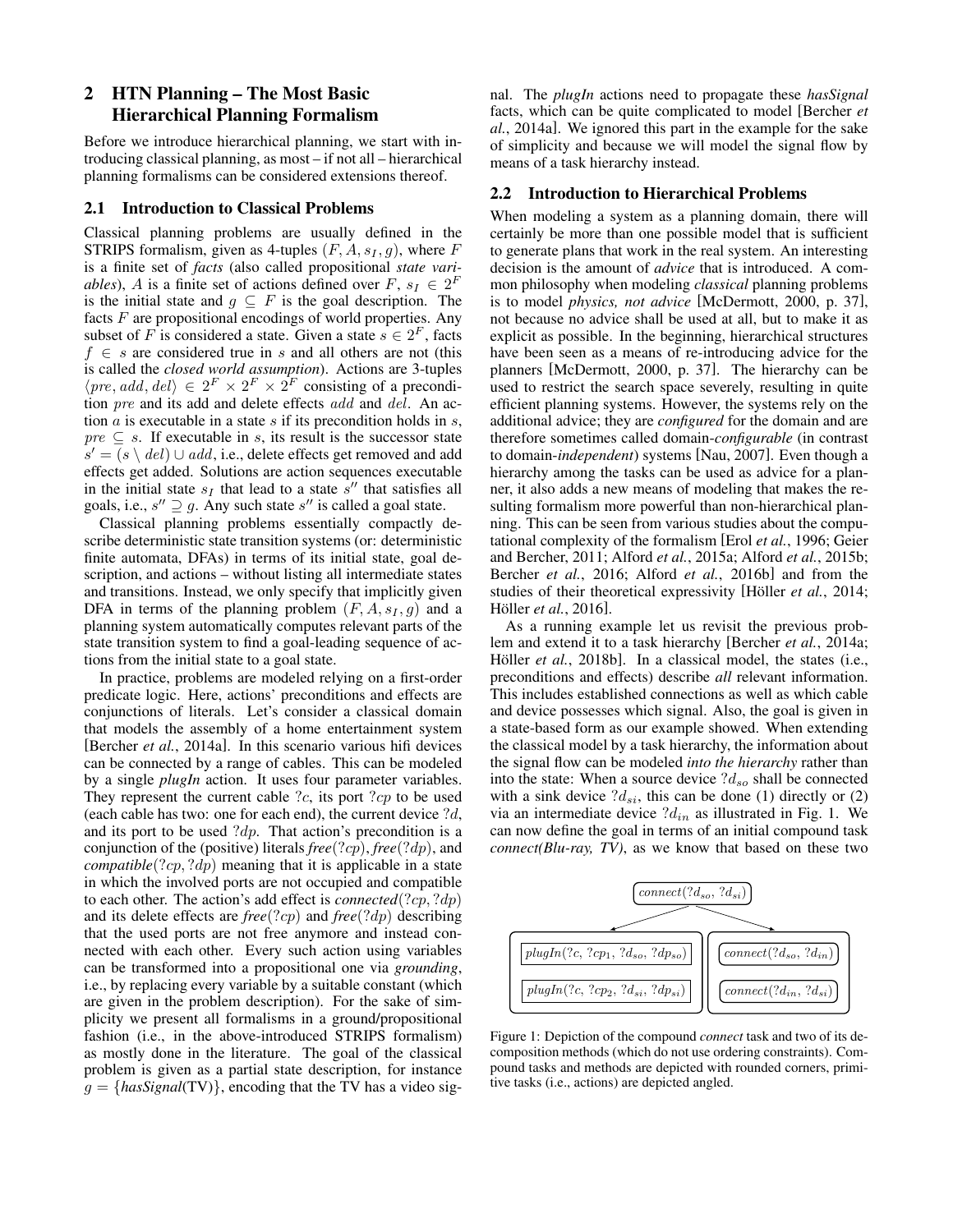# 2 HTN Planning – The Most Basic Hierarchical Planning Formalism

Before we introduce hierarchical planning, we start with introducing classical planning, as most – if not all – hierarchical planning formalisms can be considered extensions thereof.

#### 2.1 Introduction to Classical Problems

Classical planning problems are usually defined in the STRIPS formalism, given as 4-tuples  $(F, A, s_I, g)$ , where F is a finite set of *facts* (also called propositional *state variables*), A is a finite set of actions defined over  $F$ ,  $s_I \in 2^F$ is the initial state and  $g \subseteq F$  is the goal description. The facts  $F$  are propositional encodings of world properties. Any subset of F is considered a state. Given a state  $s \in 2^F$ , facts  $f \in s$  are considered true in s and all others are not (this is called the *closed world assumption*). Actions are 3-tuples  $\langle pre, add, del \rangle \in 2^F \times 2^F \times 2^F$  consisting of a precondition pre and its add and delete effects add and del. An action  $a$  is executable in a state  $s$  if its precondition holds in  $s$ ,  $pre \subseteq s$ . If executable in s, its result is the successor state  $\overline{s}' = (s \setminus \text{del}) \cup \text{add}, \text{ i.e.,}$  delete effects get removed and add effects get added. Solutions are action sequences executable in the initial state  $s_I$  that lead to a state  $s''$  that satisfies all goals, i.e.,  $s'' \supseteq g$ . Any such state  $s''$  is called a goal state.

Classical planning problems essentially compactly describe deterministic state transition systems (or: deterministic finite automata, DFAs) in terms of its initial state, goal description, and actions – without listing all intermediate states and transitions. Instead, we only specify that implicitly given DFA in terms of the planning problem  $(F, A, s_I, g)$  and a planning system automatically computes relevant parts of the state transition system to find a goal-leading sequence of actions from the initial state to a goal state.

In practice, problems are modeled relying on a first-order predicate logic. Here, actions' preconditions and effects are conjunctions of literals. Let's consider a classical domain that models the assembly of a home entertainment system [\[Bercher](#page-7-4) *et al.*, 2014a]. In this scenario various hifi devices can be connected by a range of cables. This can be modeled by a single *plugIn* action. It uses four parameter variables. They represent the current cable  $?c$ , its port  $?cp$  to be used (each cable has two: one for each end), the current device ?d, and its port to be used  $?dp$ . That action's precondition is a conjunction of the (positive) literals *free*(?cp), *free*(?dp), and *compatible*(?*cp*, ?*dp*) meaning that it is applicable in a state in which the involved ports are not occupied and compatible to each other. The action's add effect is *connected*(?cp, ?dp) and its delete effects are *free*(?cp) and *free*(?dp) describing that the used ports are not free anymore and instead connected with each other. Every such action using variables can be transformed into a propositional one via *grounding*, i.e., by replacing every variable by a suitable constant (which are given in the problem description). For the sake of simplicity we present all formalisms in a ground/propositional fashion (i.e., in the above-introduced STRIPS formalism) as mostly done in the literature. The goal of the classical problem is given as a partial state description, for instance  $g = \{hasSignal(TV)\}\$ , encoding that the TV has a video signal. The *plugIn* actions need to propagate these *hasSignal* facts, which can be quite complicated to model [\[Bercher](#page-7-4) *et al.*[, 2014a\]](#page-7-4). We ignored this part in the example for the sake of simplicity and because we will model the signal flow by means of a task hierarchy instead.

#### 2.2 Introduction to Hierarchical Problems

When modeling a system as a planning domain, there will certainly be more than one possible model that is sufficient to generate plans that work in the real system. An interesting decision is the amount of *advice* that is introduced. A common philosophy when modeling *classical* planning problems is to model *physics, not advice* [\[McDermott, 2000,](#page-8-11) p. 37], not because no advice shall be used at all, but to make it as explicit as possible. In the beginning, hierarchical structures have been seen as a means of re-introducing advice for the planners [\[McDermott, 2000,](#page-8-11) p. 37]. The hierarchy can be used to restrict the search space severely, resulting in quite efficient planning systems. However, the systems rely on the additional advice; they are *configured* for the domain and are therefore sometimes called domain-*configurable* (in contrast to domain-*independent*) systems [\[Nau, 2007\]](#page-8-5). Even though a hierarchy among the tasks can be used as advice for a planner, it also adds a new means of modeling that makes the resulting formalism more powerful than non-hierarchical planning. This can be seen from various studies about the computational complexity of the formalism [Erol *et al.*[, 1996;](#page-7-12) [Geier](#page-7-13) [and Bercher, 2011;](#page-7-13) Alford *et al.*[, 2015a;](#page-6-2) Alford *et al.*[, 2015b;](#page-6-3) [Bercher](#page-7-14) *et al.*, 2016; Alford *et al.*[, 2016b\]](#page-6-4) and from the studies of their theoretical expressivity [Höller et al., 2014; Höller et al.[, 2016\]](#page-8-9).

As a running example let us revisit the previous problem and extend it to a task hierarchy [\[Bercher](#page-7-4) *et al.*, 2014a; Höller *et al.*[, 2018b\]](#page-8-12). In a classical model, the states (i.e., preconditions and effects) describe *all* relevant information. This includes established connections as well as which cable and device possesses which signal. Also, the goal is given in a state-based form as our example showed. When extending the classical model by a task hierarchy, the information about the signal flow can be modeled *into the hierarchy* rather than into the state: When a source device  $d_{so}$  shall be connected with a sink device  $d_{si}$ , this can be done (1) directly or (2) via an intermediate device  $?d_{in}$  as illustrated in Fig. [1.](#page-1-0) We can now define the goal in terms of an initial compound task *connect(Blu-ray, TV)*, as we know that based on these two

<span id="page-1-0"></span>

Figure 1: Depiction of the compound *connect* task and two of its decomposition methods (which do not use ordering constraints). Compound tasks and methods are depicted with rounded corners, primitive tasks (i.e., actions) are depicted angled.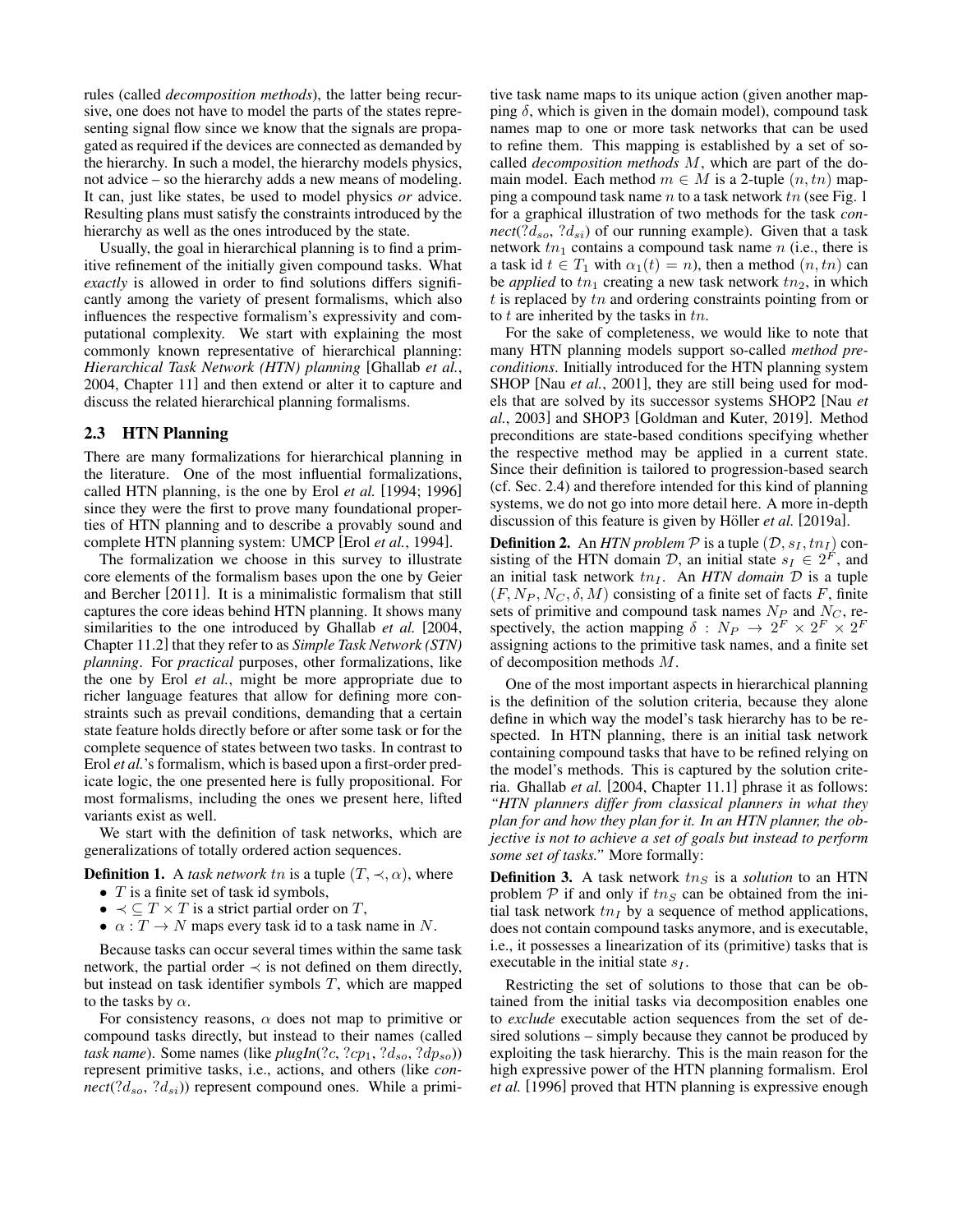rules (called *decomposition methods*), the latter being recursive, one does not have to model the parts of the states representing signal flow since we know that the signals are propagated as required if the devices are connected as demanded by the hierarchy. In such a model, the hierarchy models physics, not advice – so the hierarchy adds a new means of modeling. It can, just like states, be used to model physics *or* advice. Resulting plans must satisfy the constraints introduced by the hierarchy as well as the ones introduced by the state.

Usually, the goal in hierarchical planning is to find a primitive refinement of the initially given compound tasks. What *exactly* is allowed in order to find solutions differs significantly among the variety of present formalisms, which also influences the respective formalism's expressivity and computational complexity. We start with explaining the most commonly known representative of hierarchical planning: *Hierarchical Task Network (HTN) planning* [\[Ghallab](#page-7-6) *et al.*, [2004,](#page-7-6) Chapter 11] and then extend or alter it to capture and discuss the related hierarchical planning formalisms.

#### 2.3 HTN Planning

There are many formalizations for hierarchical planning in the literature. One of the most influential formalizations, called HTN planning, is the one by Erol *[et al.](#page-7-15)* [\[1994;](#page-7-15) [1996\]](#page-7-12) since they were the first to prove many foundational properties of HTN planning and to describe a provably sound and complete HTN planning system: UMCP [Erol *et al.*[, 1994\]](#page-7-15).

The formalization we choose in this survey to illustrate core elements of the formalism bases upon the one by [Geier](#page-7-13) [and Bercher](#page-7-13) [\[2011\]](#page-7-13). It is a minimalistic formalism that still captures the core ideas behind HTN planning. It shows many similarities to the one introduced by [Ghallab](#page-7-6) *et al.* [\[2004,](#page-7-6) Chapter 11.2] that they refer to as *Simple Task Network (STN) planning*. For *practical* purposes, other formalizations, like the one by Erol *[et al.](#page-7-12)*, might be more appropriate due to richer language features that allow for defining more constraints such as prevail conditions, demanding that a certain state feature holds directly before or after some task or for the complete sequence of states between two tasks. In contrast to Erol *[et al.](#page-7-12)*'s formalism, which is based upon a first-order predicate logic, the one presented here is fully propositional. For most formalisms, including the ones we present here, lifted variants exist as well.

We start with the definition of task networks, which are generalizations of totally ordered action sequences.

**Definition 1.** A *task network* tn is a tuple  $(T, \prec, \alpha)$ , where

- $T$  is a finite set of task id symbols,
- $\prec \subseteq T \times T$  is a strict partial order on T,
- $\alpha: T \to N$  maps every task id to a task name in N.

Because tasks can occur several times within the same task network, the partial order  $\prec$  is not defined on them directly, but instead on task identifier symbols  $T$ , which are mapped to the tasks by  $\alpha$ .

For consistency reasons,  $\alpha$  does not map to primitive or compound tasks directly, but instead to their names (called *task name*). Some names (like *plugIn*(?*c*, ?*cp*<sub>1</sub>, ? $d_{so}$ , ? $dp_{so}$ )) represent primitive tasks, i.e., actions, and others (like *con-* $\text{rect}(?d_{so}, ?d_{si})$  represent compound ones. While a primitive task name maps to its unique action (given another mapping  $\delta$ , which is given in the domain model), compound task names map to one or more task networks that can be used to refine them. This mapping is established by a set of socalled *decomposition methods* M, which are part of the domain model. Each method  $m \in M$  is a 2-tuple  $(n, tn)$  mapping a compound task name  $n$  to a task network  $tn$  (see Fig. [1](#page-1-0)) for a graphical illustration of two methods for the task *con* $nect(?d_{so}, ?d_{si})$  of our running example). Given that a task network  $tn_1$  contains a compound task name n (i.e., there is a task id  $t \in T_1$  with  $\alpha_1(t) = n$ , then a method  $(n, tn)$  can be *applied* to  $tn_1$  creating a new task network  $tn_2$ , in which  $t$  is replaced by  $tn$  and ordering constraints pointing from or to  $t$  are inherited by the tasks in  $tn$ .

For the sake of completeness, we would like to note that many HTN planning models support so-called *method preconditions*. Initially introduced for the HTN planning system SHOP [Nau et al.[, 2001\]](#page-8-13), they are still being used for models that are solved by its successor systems SHOP2 [\[Nau](#page-8-14) *et al.*[, 2003\]](#page-8-14) and SHOP3 [\[Goldman and Kuter, 2019\]](#page-7-16). Method preconditions are state-based conditions specifying whether the respective method may be applied in a current state. Since their definition is tailored to progression-based search (cf. Sec. [2.4\)](#page-3-0) and therefore intended for this kind of planning systems, we do not go into more detail here. A more in-depth discussion of this feature is given by Höller et al. [\[2019a\]](#page-8-10).

**Definition 2.** An *HTN problem*  $P$  is a tuple  $(D, s_I, tn_I)$  consisting of the HTN domain  $D$ , an initial state  $s_I \in 2^F$ , and an initial task network  $tn_I$ . An *HTN domain*  $D$  is a tuple  $(F, N_P, N_C, \delta, M)$  consisting of a finite set of facts F, finite sets of primitive and compound task names  $N_P$  and  $N_C$ , respectively, the action mapping  $\delta : N_P \to 2^F \times 2^F \times 2^F$ assigning actions to the primitive task names, and a finite set of decomposition methods M.

One of the most important aspects in hierarchical planning is the definition of the solution criteria, because they alone define in which way the model's task hierarchy has to be respected. In HTN planning, there is an initial task network containing compound tasks that have to be refined relying on the model's methods. This is captured by the solution criteria. [Ghallab](#page-7-6) *et al.* [\[2004,](#page-7-6) Chapter 11.1] phrase it as follows: *"HTN planners differ from classical planners in what they plan for and how they plan for it. In an HTN planner, the objective is not to achieve a set of goals but instead to perform some set of tasks."* More formally:

<span id="page-2-0"></span>**Definition 3.** A task network  $tn<sub>S</sub>$  is a *solution* to an HTN problem  $\mathcal P$  if and only if  $t n_S$  can be obtained from the initial task network  $tn_I$  by a sequence of method applications, does not contain compound tasks anymore, and is executable, i.e., it possesses a linearization of its (primitive) tasks that is executable in the initial state  $s_I$ .

Restricting the set of solutions to those that can be obtained from the initial tasks via decomposition enables one to *exclude* executable action sequences from the set of desired solutions – simply because they cannot be produced by exploiting the task hierarchy. This is the main reason for the high expressive power of the HTN planning formalism. [Erol](#page-7-12) *[et al.](#page-7-12)* [\[1996\]](#page-7-12) proved that HTN planning is expressive enough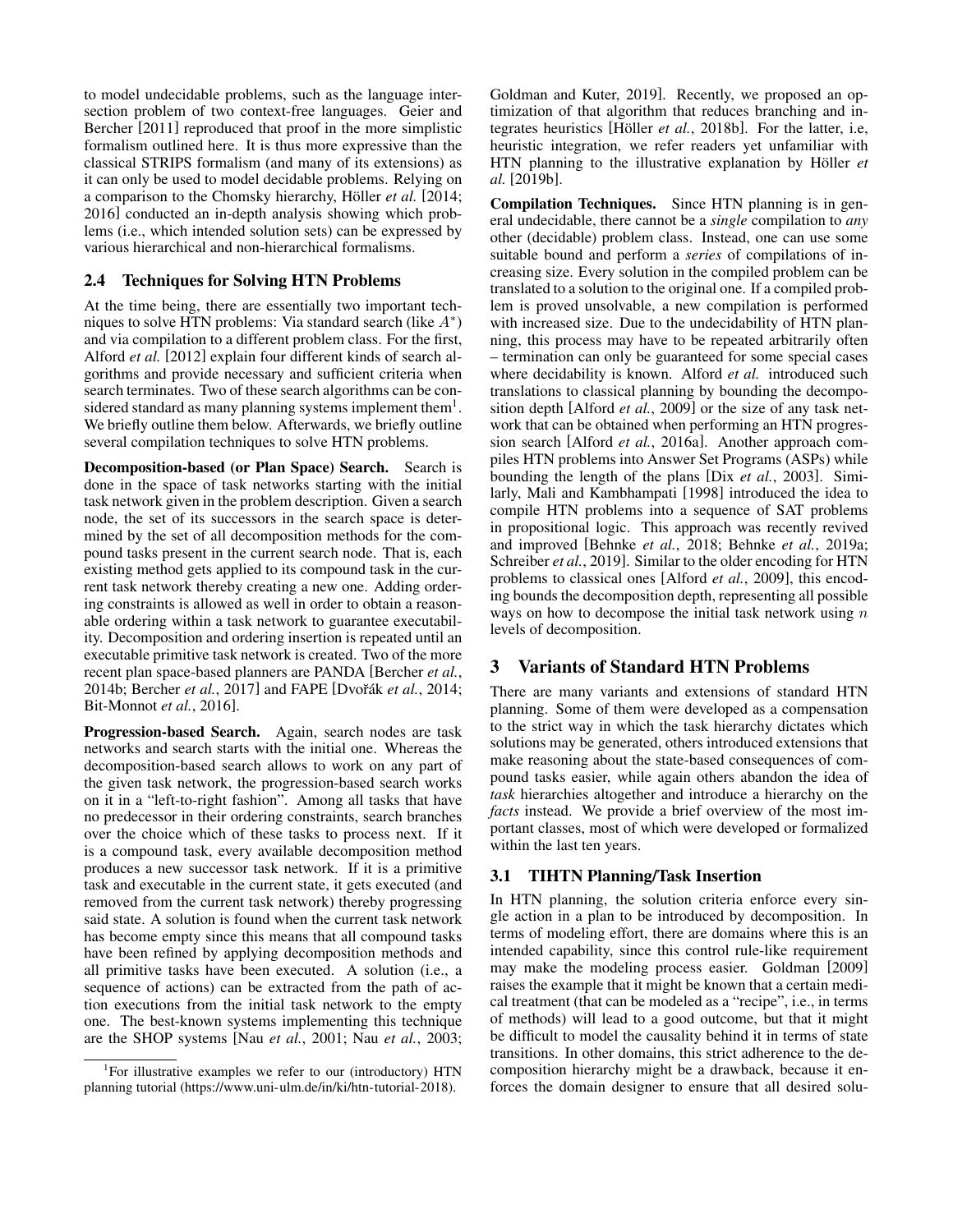to model undecidable problems, such as the language intersection problem of two context-free languages. [Geier and](#page-7-13) [Bercher](#page-7-13) [\[2011\]](#page-7-13) reproduced that proof in the more simplistic formalism outlined here. It is thus more expressive than the classical STRIPS formalism (and many of its extensions) as it can only be used to model decidable problems. Relying on a comparison to the Chomsky hierarchy, Höller et al. [\[2014;](#page-7-11) [2016\]](#page-8-9) conducted an in-depth analysis showing which problems (i.e., which intended solution sets) can be expressed by various hierarchical and non-hierarchical formalisms.

## <span id="page-3-0"></span>2.4 Techniques for Solving HTN Problems

At the time being, there are essentially two important techniques to solve HTN problems: Via standard search (like  $A^*$ ) and via compilation to a different problem class. For the first, [Alford](#page-6-5) *et al.* [\[2012\]](#page-6-5) explain four different kinds of search algorithms and provide necessary and sufficient criteria when search terminates. Two of these search algorithms can be con-sidered standard as many planning systems implement them<sup>[1](#page-3-1)</sup>. We briefly outline them below. Afterwards, we briefly outline several compilation techniques to solve HTN problems.

Decomposition-based (or Plan Space) Search. Search is done in the space of task networks starting with the initial task network given in the problem description. Given a search node, the set of its successors in the search space is determined by the set of all decomposition methods for the compound tasks present in the current search node. That is, each existing method gets applied to its compound task in the current task network thereby creating a new one. Adding ordering constraints is allowed as well in order to obtain a reasonable ordering within a task network to guarantee executability. Decomposition and ordering insertion is repeated until an executable primitive task network is created. Two of the more recent plan space-based planners are PANDA [\[Bercher](#page-7-17) *et al.*, [2014b;](#page-7-17) [Bercher](#page-7-18) *et al.*, 2017] and FAPE [Dvořák *et al.*, 2014; [Bit-Monnot](#page-7-20) *et al.*, 2016].

Progression-based Search. Again, search nodes are task networks and search starts with the initial one. Whereas the decomposition-based search allows to work on any part of the given task network, the progression-based search works on it in a "left-to-right fashion". Among all tasks that have no predecessor in their ordering constraints, search branches over the choice which of these tasks to process next. If it is a compound task, every available decomposition method produces a new successor task network. If it is a primitive task and executable in the current state, it gets executed (and removed from the current task network) thereby progressing said state. A solution is found when the current task network has become empty since this means that all compound tasks have been refined by applying decomposition methods and all primitive tasks have been executed. A solution (i.e., a sequence of actions) can be extracted from the path of action executions from the initial task network to the empty one. The best-known systems implementing this technique are the SHOP systems [Nau *et al.*[, 2001;](#page-8-13) Nau *et al.*[, 2003;](#page-8-14) [Goldman and Kuter, 2019\]](#page-7-16). Recently, we proposed an optimization of that algorithm that reduces branching and in-tegrates heuristics [Höller et al.[, 2018b\]](#page-8-12). For the latter, i.e, heuristic integration, we refer readers yet unfamiliar with HTN planning to the illustrative explanation by Höller et *[al.](#page-8-15)* [\[2019b\]](#page-8-15).

Compilation Techniques. Since HTN planning is in general undecidable, there cannot be a *single* compilation to *any* other (decidable) problem class. Instead, one can use some suitable bound and perform a *series* of compilations of increasing size. Every solution in the compiled problem can be translated to a solution to the original one. If a compiled problem is proved unsolvable, a new compilation is performed with increased size. Due to the undecidability of HTN planning, this process may have to be repeated arbitrarily often – termination can only be guaranteed for some special cases where decidability is known. [Alford](#page-6-6) *et al.* introduced such translations to classical planning by bounding the decomposition depth [\[Alford](#page-6-7) *et al.*, 2009] or the size of any task network that can be obtained when performing an HTN progression search [Alford *et al.*[, 2016a\]](#page-6-6). Another approach compiles HTN problems into Answer Set Programs (ASPs) while bounding the length of the plans [Dix *et al.*[, 2003\]](#page-7-21). Similarly, [Mali and Kambhampati](#page-8-16) [\[1998\]](#page-8-16) introduced the idea to compile HTN problems into a sequence of SAT problems in propositional logic. This approach was recently revived and improved [\[Behnke](#page-7-22) *et al.*, 2018; Behnke *et al.*[, 2019a;](#page-7-23) [Schreiber](#page-8-17) *et al.*, 2019]. Similar to the older encoding for HTN problems to classical ones [\[Alford](#page-6-7) *et al.*, 2009], this encoding bounds the decomposition depth, representing all possible ways on how to decompose the initial task network using  $n$ levels of decomposition.

## 3 Variants of Standard HTN Problems

There are many variants and extensions of standard HTN planning. Some of them were developed as a compensation to the strict way in which the task hierarchy dictates which solutions may be generated, others introduced extensions that make reasoning about the state-based consequences of compound tasks easier, while again others abandon the idea of *task* hierarchies altogether and introduce a hierarchy on the *facts* instead. We provide a brief overview of the most important classes, most of which were developed or formalized within the last ten years.

## 3.1 TIHTN Planning/Task Insertion

In HTN planning, the solution criteria enforce every single action in a plan to be introduced by decomposition. In terms of modeling effort, there are domains where this is an intended capability, since this control rule-like requirement may make the modeling process easier. [Goldman](#page-7-24) [\[2009\]](#page-7-24) raises the example that it might be known that a certain medical treatment (that can be modeled as a "recipe", i.e., in terms of methods) will lead to a good outcome, but that it might be difficult to model the causality behind it in terms of state transitions. In other domains, this strict adherence to the decomposition hierarchy might be a drawback, because it enforces the domain designer to ensure that all desired solu-

<span id="page-3-1"></span><sup>&</sup>lt;sup>1</sup>For illustrative examples we refer to our (introductory) HTN planning tutorial [\(https://www.uni-ulm.de/in/ki/htn-tutorial-2018\)](https://www.uni-ulm.de/in/ki/htn-tutorial-2018).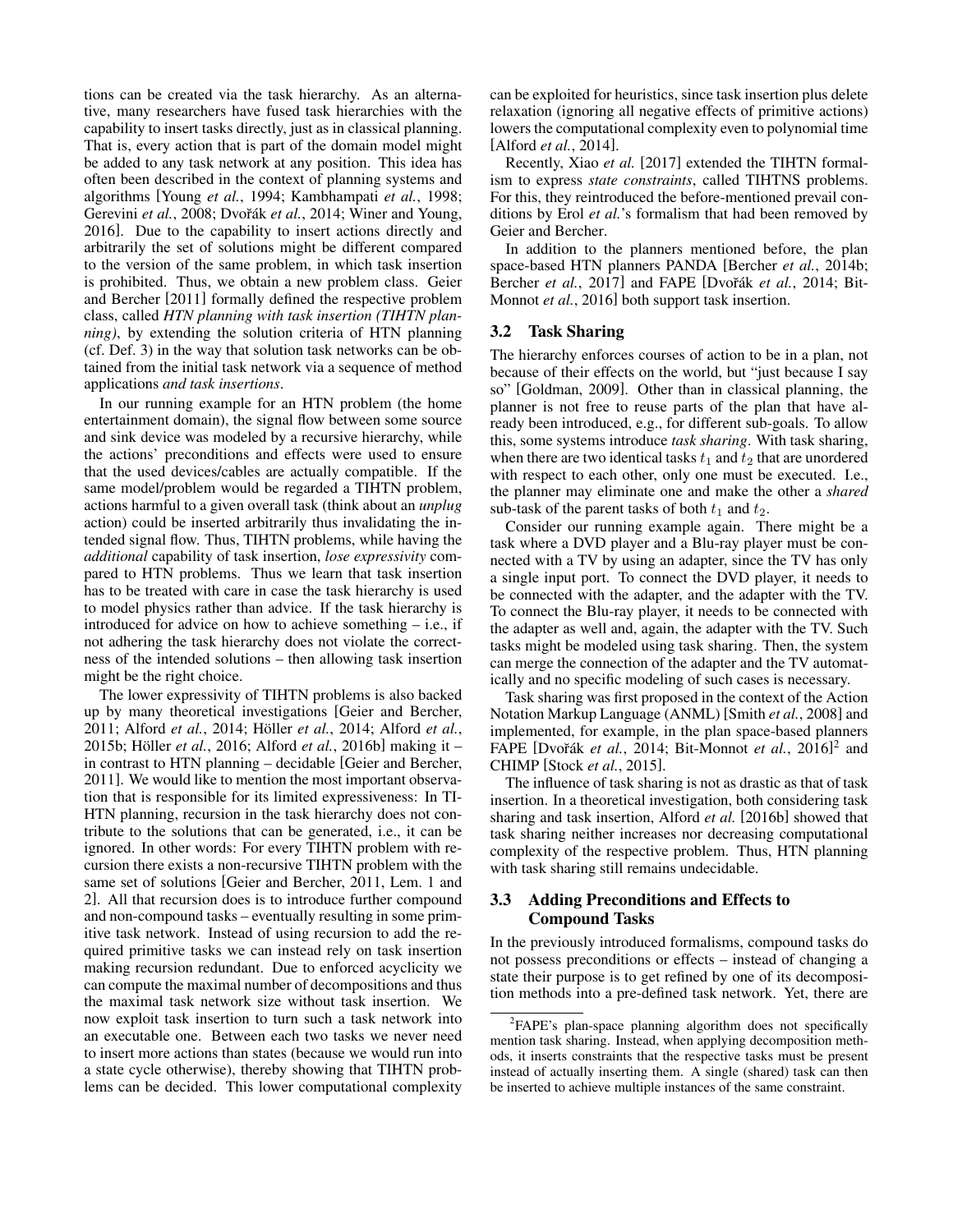tions can be created via the task hierarchy. As an alternative, many researchers have fused task hierarchies with the capability to insert tasks directly, just as in classical planning. That is, every action that is part of the domain model might be added to any task network at any position. This idea has often been described in the context of planning systems and algorithms [\[Young](#page-8-18) *et al.*, 1994; [Kambhampati](#page-8-19) *et al.*, 1998; [Gerevini](#page-7-25) et al., 2008; Dvořák et al., 2014; [Winer and Young,](#page-8-3) [2016\]](#page-8-3). Due to the capability to insert actions directly and arbitrarily the set of solutions might be different compared to the version of the same problem, in which task insertion is prohibited. Thus, we obtain a new problem class. [Geier](#page-7-13) [and Bercher](#page-7-13) [\[2011\]](#page-7-13) formally defined the respective problem class, called *HTN planning with task insertion (TIHTN planning)*, by extending the solution criteria of HTN planning (cf. Def. [3\)](#page-2-0) in the way that solution task networks can be obtained from the initial task network via a sequence of method applications *and task insertions*.

In our running example for an HTN problem (the home entertainment domain), the signal flow between some source and sink device was modeled by a recursive hierarchy, while the actions' preconditions and effects were used to ensure that the used devices/cables are actually compatible. If the same model/problem would be regarded a TIHTN problem, actions harmful to a given overall task (think about an *unplug* action) could be inserted arbitrarily thus invalidating the intended signal flow. Thus, TIHTN problems, while having the *additional* capability of task insertion, *lose expressivity* compared to HTN problems. Thus we learn that task insertion has to be treated with care in case the task hierarchy is used to model physics rather than advice. If the task hierarchy is introduced for advice on how to achieve something – i.e., if not adhering the task hierarchy does not violate the correctness of the intended solutions – then allowing task insertion might be the right choice.

The lower expressivity of TIHTN problems is also backed up by many theoretical investigations [\[Geier and Bercher,](#page-7-13) [2011;](#page-7-13) [Alford](#page-6-3) *et al.*[, 2014;](#page-7-11) Höller *et al.*, 2014; Alford *et al.*, [2015b;](#page-6-3) Höller *et al.*[, 2016;](#page-8-9) Alford *et al.*[, 2016b\]](#page-6-4) making it – in contrast to HTN planning – decidable [\[Geier and Bercher,](#page-7-13) [2011\]](#page-7-13). We would like to mention the most important observation that is responsible for its limited expressiveness: In TI-HTN planning, recursion in the task hierarchy does not contribute to the solutions that can be generated, i.e., it can be ignored. In other words: For every TIHTN problem with recursion there exists a non-recursive TIHTN problem with the same set of solutions [\[Geier and Bercher, 2011,](#page-7-13) Lem. 1 and 2]. All that recursion does is to introduce further compound and non-compound tasks – eventually resulting in some primitive task network. Instead of using recursion to add the required primitive tasks we can instead rely on task insertion making recursion redundant. Due to enforced acyclicity we can compute the maximal number of decompositions and thus the maximal task network size without task insertion. We now exploit task insertion to turn such a task network into an executable one. Between each two tasks we never need to insert more actions than states (because we would run into a state cycle otherwise), thereby showing that TIHTN problems can be decided. This lower computational complexity can be exploited for heuristics, since task insertion plus delete relaxation (ignoring all negative effects of primitive actions) lowers the computational complexity even to polynomial time [\[Alford](#page-6-8) *et al.*, 2014].

Recently, [Xiao](#page-8-20) *et al.* [\[2017\]](#page-8-20) extended the TIHTN formalism to express *state constraints*, called TIHTNS problems. For this, they reintroduced the before-mentioned prevail conditions by Erol *[et al.](#page-7-12)*'s formalism that had been removed by [Geier and Bercher.](#page-7-13)

In addition to the planners mentioned before, the plan space-based HTN planners PANDA [\[Bercher](#page-7-17) *et al.*, 2014b; [Bercher](#page-7-18) *et al.*, 2017] and FAPE [Dvořák *et al.*, 2014; [Bit-](#page-7-20)[Monnot](#page-7-20) *et al.*, 2016] both support task insertion.

## 3.2 Task Sharing

The hierarchy enforces courses of action to be in a plan, not because of their effects on the world, but "just because I say so" [\[Goldman, 2009\]](#page-7-24). Other than in classical planning, the planner is not free to reuse parts of the plan that have already been introduced, e.g., for different sub-goals. To allow this, some systems introduce *task sharing*. With task sharing, when there are two identical tasks  $t_1$  and  $t_2$  that are unordered with respect to each other, only one must be executed. I.e., the planner may eliminate one and make the other a *shared* sub-task of the parent tasks of both  $t_1$  and  $t_2$ .

Consider our running example again. There might be a task where a DVD player and a Blu-ray player must be connected with a TV by using an adapter, since the TV has only a single input port. To connect the DVD player, it needs to be connected with the adapter, and the adapter with the TV. To connect the Blu-ray player, it needs to be connected with the adapter as well and, again, the adapter with the TV. Such tasks might be modeled using task sharing. Then, the system can merge the connection of the adapter and the TV automatically and no specific modeling of such cases is necessary.

Task sharing was first proposed in the context of the Action Notation Markup Language (ANML) [Smith *et al.*[, 2008\]](#page-8-21) and implemented, for example, in the plan space-based planners FAPE [Dvořák *et al.*, 2014; [Bit-Monnot](#page-7-20) *et al.*, [2](#page-4-0)016]<sup>2</sup> and CHIMP [Stock *et al.*[, 2015\]](#page-8-0).

The influence of task sharing is not as drastic as that of task insertion. In a theoretical investigation, both considering task sharing and task insertion, [Alford](#page-6-4) *et al.* [\[2016b\]](#page-6-4) showed that task sharing neither increases nor decreasing computational complexity of the respective problem. Thus, HTN planning with task sharing still remains undecidable.

## 3.3 Adding Preconditions and Effects to Compound Tasks

In the previously introduced formalisms, compound tasks do not possess preconditions or effects – instead of changing a state their purpose is to get refined by one of its decomposition methods into a pre-defined task network. Yet, there are

<span id="page-4-0"></span><sup>&</sup>lt;sup>2</sup>FAPE's plan-space planning algorithm does not specifically mention task sharing. Instead, when applying decomposition methods, it inserts constraints that the respective tasks must be present instead of actually inserting them. A single (shared) task can then be inserted to achieve multiple instances of the same constraint.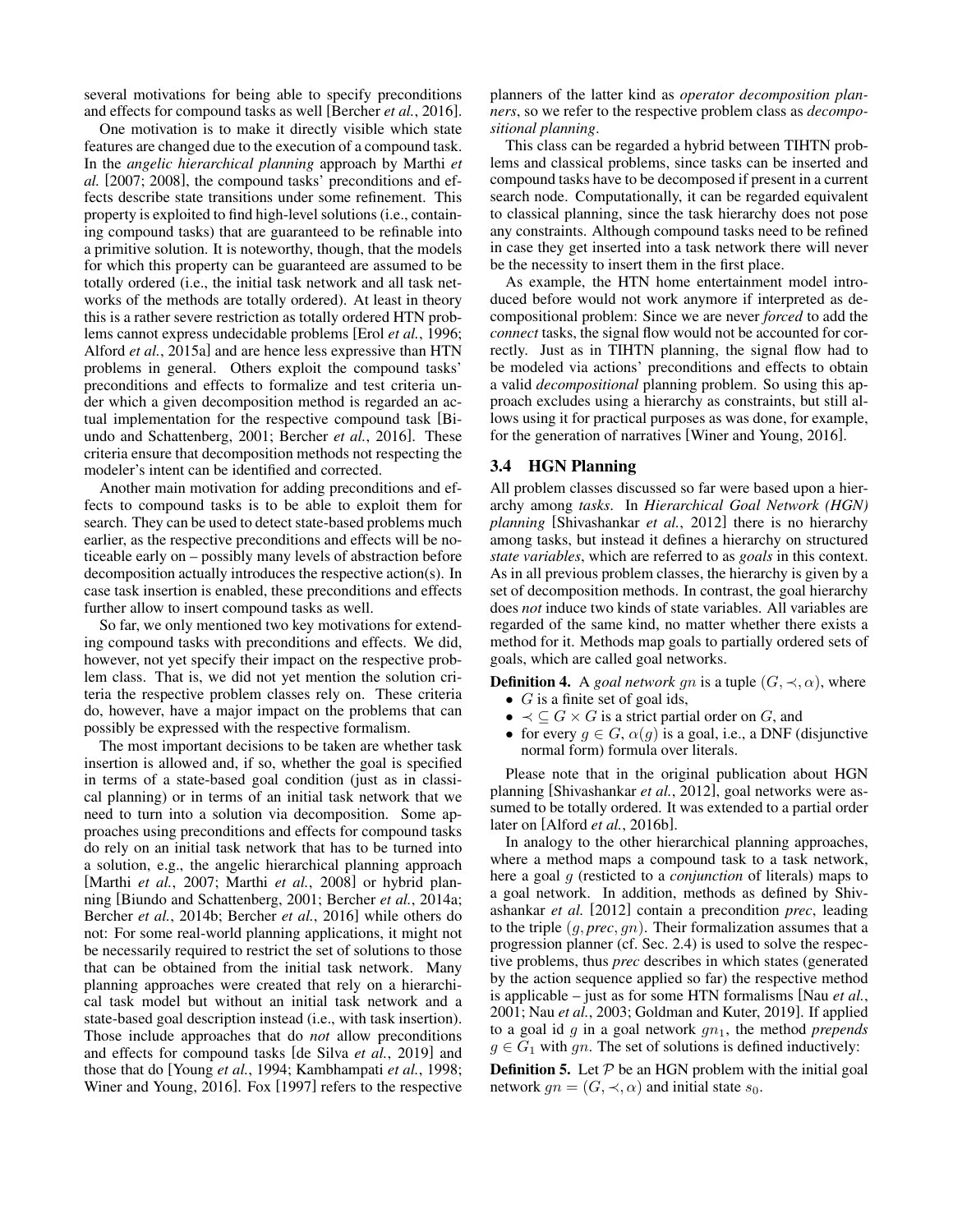several motivations for being able to specify preconditions and effects for compound tasks as well [\[Bercher](#page-7-14) *et al.*, 2016].

One motivation is to make it directly visible which state features are changed due to the execution of a compound task. In the *angelic hierarchical planning* approach by [Marthi](#page-8-22) *et [al.](#page-8-22)* [\[2007;](#page-8-22) [2008\]](#page-8-7), the compound tasks' preconditions and effects describe state transitions under some refinement. This property is exploited to find high-level solutions (i.e., containing compound tasks) that are guaranteed to be refinable into a primitive solution. It is noteworthy, though, that the models for which this property can be guaranteed are assumed to be totally ordered (i.e., the initial task network and all task networks of the methods are totally ordered). At least in theory this is a rather severe restriction as totally ordered HTN problems cannot express undecidable problems [Erol *et al.*[, 1996;](#page-7-12) Alford *et al.*[, 2015a\]](#page-6-2) and are hence less expressive than HTN problems in general. Others exploit the compound tasks' preconditions and effects to formalize and test criteria under which a given decomposition method is regarded an actual implementation for the respective compound task [\[Bi](#page-7-26)[undo and Schattenberg, 2001;](#page-7-26) [Bercher](#page-7-14) *et al.*, 2016]. These criteria ensure that decomposition methods not respecting the modeler's intent can be identified and corrected.

Another main motivation for adding preconditions and effects to compound tasks is to be able to exploit them for search. They can be used to detect state-based problems much earlier, as the respective preconditions and effects will be noticeable early on – possibly many levels of abstraction before decomposition actually introduces the respective action(s). In case task insertion is enabled, these preconditions and effects further allow to insert compound tasks as well.

So far, we only mentioned two key motivations for extending compound tasks with preconditions and effects. We did, however, not yet specify their impact on the respective problem class. That is, we did not yet mention the solution criteria the respective problem classes rely on. These criteria do, however, have a major impact on the problems that can possibly be expressed with the respective formalism.

The most important decisions to be taken are whether task insertion is allowed and, if so, whether the goal is specified in terms of a state-based goal condition (just as in classical planning) or in terms of an initial task network that we need to turn into a solution via decomposition. Some approaches using preconditions and effects for compound tasks do rely on an initial task network that has to be turned into a solution, e.g., the angelic hierarchical planning approach [\[Marthi](#page-8-22) *et al.*, 2007; Marthi *et al.*[, 2008\]](#page-8-7) or hybrid planning [\[Biundo and Schattenberg, 2001;](#page-7-26) [Bercher](#page-7-4) *et al.*, 2014a; Bercher *et al.*[, 2014b;](#page-7-17) [Bercher](#page-7-14) *et al.*, 2016] while others do not: For some real-world planning applications, it might not be necessarily required to restrict the set of solutions to those that can be obtained from the initial task network. Many planning approaches were created that rely on a hierarchical task model but without an initial task network and a state-based goal description instead (i.e., with task insertion). Those include approaches that do *not* allow preconditions and effects for compound tasks [\[de Silva](#page-7-7) *et al.*, 2019] and those that do [\[Young](#page-8-18) *et al.*, 1994; [Kambhampati](#page-8-19) *et al.*, 1998; [Winer and Young, 2016\]](#page-8-3). [Fox](#page-7-9) [\[1997\]](#page-7-9) refers to the respective planners of the latter kind as *operator decomposition planners*, so we refer to the respective problem class as *decompositional planning*.

This class can be regarded a hybrid between TIHTN problems and classical problems, since tasks can be inserted and compound tasks have to be decomposed if present in a current search node. Computationally, it can be regarded equivalent to classical planning, since the task hierarchy does not pose any constraints. Although compound tasks need to be refined in case they get inserted into a task network there will never be the necessity to insert them in the first place.

As example, the HTN home entertainment model introduced before would not work anymore if interpreted as decompositional problem: Since we are never *forced* to add the *connect* tasks, the signal flow would not be accounted for correctly. Just as in TIHTN planning, the signal flow had to be modeled via actions' preconditions and effects to obtain a valid *decompositional* planning problem. So using this approach excludes using a hierarchy as constraints, but still allows using it for practical purposes as was done, for example, for the generation of narratives [\[Winer and Young, 2016\]](#page-8-3).

#### 3.4 HGN Planning

All problem classes discussed so far were based upon a hierarchy among *tasks*. In *Hierarchical Goal Network (HGN) planning* [\[Shivashankar](#page-8-23) *et al.*, 2012] there is no hierarchy among tasks, but instead it defines a hierarchy on structured *state variables*, which are referred to as *goals* in this context. As in all previous problem classes, the hierarchy is given by a set of decomposition methods. In contrast, the goal hierarchy does *not* induce two kinds of state variables. All variables are regarded of the same kind, no matter whether there exists a method for it. Methods map goals to partially ordered sets of goals, which are called goal networks.

**Definition 4.** A *goal network gn* is a tuple  $(G, \prec, \alpha)$ , where

- $G$  is a finite set of goal ids,
- $\bullet \prec \subseteq G \times G$  is a strict partial order on G, and
- for every  $g \in G$ ,  $\alpha(g)$  is a goal, i.e., a DNF (disjunctive normal form) formula over literals.

Please note that in the original publication about HGN planning [\[Shivashankar](#page-8-23) *et al.*, 2012], goal networks were assumed to be totally ordered. It was extended to a partial order later on [Alford *et al.*[, 2016b\]](#page-6-4).

In analogy to the other hierarchical planning approaches, where a method maps a compound task to a task network, here a goal g (resticted to a *conjunction* of literals) maps to a goal network. In addition, methods as defined by [Shiv](#page-8-23)[ashankar](#page-8-23) *et al.* [\[2012\]](#page-8-23) contain a precondition *prec*, leading to the triple (g, *prec*, gn). Their formalization assumes that a progression planner (cf. Sec. [2.4\)](#page-3-0) is used to solve the respective problems, thus *prec* describes in which states (generated by the action sequence applied so far) the respective method is applicable – just as for some HTN formalisms [Nau *[et al.](#page-8-13)*, [2001;](#page-8-13) Nau *et al.*[, 2003;](#page-8-14) [Goldman and Kuter, 2019\]](#page-7-16). If applied to a goal id q in a goal network  $qn_1$ , the method *prepends*  $g \in G_1$  with gn. The set of solutions is defined inductively:

<span id="page-5-0"></span>**Definition 5.** Let  $P$  be an HGN problem with the initial goal network  $gn = (G, \prec, \alpha)$  and initial state  $s_0$ .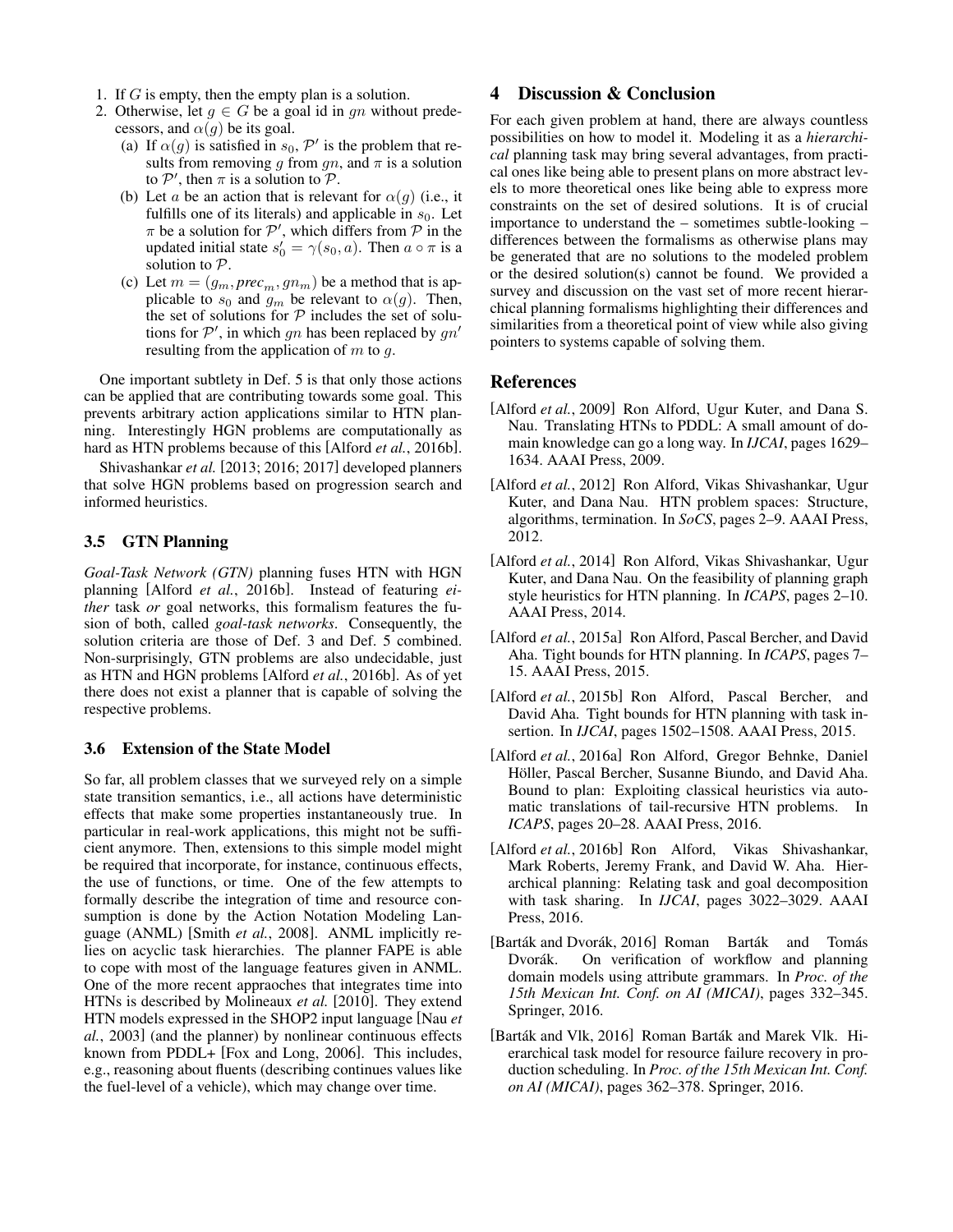- 1. If G is empty, then the empty plan is a solution.
- 2. Otherwise, let  $g \in G$  be a goal id in gn without predecessors, and  $\alpha(g)$  be its goal.
	- (a) If  $\alpha(g)$  is satisfied in  $s_0$ ,  $\mathcal{P}'$  is the problem that results from removing g from gn, and  $\pi$  is a solution to  $P'$ , then  $\pi$  is a solution to  $\mathcal{P}$ .
	- (b) Let a be an action that is relevant for  $\alpha(g)$  (i.e., it fulfills one of its literals) and applicable in  $s_0$ . Let  $\pi$  be a solution for  $\mathcal{P}'$ , which differs from  $\mathcal P$  in the updated initial state  $s'_0 = \gamma(s_0, a)$ . Then  $a \circ \pi$  is a solution to P.
	- (c) Let  $m = (g_m, prec_m, gn_m)$  be a method that is applicable to  $s_0$  and  $g_m$  be relevant to  $\alpha(g)$ . Then, the set of solutions for  $P$  includes the set of solutions for  $\mathcal{P}'$ , in which gn has been replaced by gn' resulting from the application of  $m$  to  $q$ .

One important subtlety in Def. [5](#page-5-0) is that only those actions can be applied that are contributing towards some goal. This prevents arbitrary action applications similar to HTN planning. Interestingly HGN problems are computationally as hard as HTN problems because of this [Alford *et al.*[, 2016b\]](#page-6-4).

[Shivashankar](#page-8-24) *et al.* [\[2013;](#page-8-24) [2016;](#page-8-25) [2017\]](#page-8-26) developed planners that solve HGN problems based on progression search and informed heuristics.

## 3.5 GTN Planning

*Goal-Task Network (GTN)* planning fuses HTN with HGN planning [Alford *et al.*[, 2016b\]](#page-6-4). Instead of featuring *either* task *or* goal networks, this formalism features the fusion of both, called *goal-task networks*. Consequently, the solution criteria are those of Def. [3](#page-2-0) and Def. [5](#page-5-0) combined. Non-surprisingly, GTN problems are also undecidable, just as HTN and HGN problems [Alford *et al.*[, 2016b\]](#page-6-4). As of yet there does not exist a planner that is capable of solving the respective problems.

## 3.6 Extension of the State Model

So far, all problem classes that we surveyed rely on a simple state transition semantics, i.e., all actions have deterministic effects that make some properties instantaneously true. In particular in real-work applications, this might not be sufficient anymore. Then, extensions to this simple model might be required that incorporate, for instance, continuous effects, the use of functions, or time. One of the few attempts to formally describe the integration of time and resource consumption is done by the Action Notation Modeling Language (ANML) [Smith *et al.*[, 2008\]](#page-8-21). ANML implicitly relies on acyclic task hierarchies. The planner FAPE is able to cope with most of the language features given in ANML. One of the more recent appraoches that integrates time into HTNs is described by [Molineaux](#page-8-27) *et al.* [\[2010\]](#page-8-27). They extend HTN models expressed in the SHOP2 input language [\[Nau](#page-8-14) *et al.*[, 2003\]](#page-8-14) (and the planner) by nonlinear continuous effects known from PDDL+ [\[Fox and Long, 2006\]](#page-7-27). This includes, e.g., reasoning about fluents (describing continues values like the fuel-level of a vehicle), which may change over time.

## 4 Discussion & Conclusion

For each given problem at hand, there are always countless possibilities on how to model it. Modeling it as a *hierarchical* planning task may bring several advantages, from practical ones like being able to present plans on more abstract levels to more theoretical ones like being able to express more constraints on the set of desired solutions. It is of crucial importance to understand the – sometimes subtle-looking – differences between the formalisms as otherwise plans may be generated that are no solutions to the modeled problem or the desired solution(s) cannot be found. We provided a survey and discussion on the vast set of more recent hierarchical planning formalisms highlighting their differences and similarities from a theoretical point of view while also giving pointers to systems capable of solving them.

## References

- <span id="page-6-7"></span>[Alford *et al.*, 2009] Ron Alford, Ugur Kuter, and Dana S. Nau. Translating HTNs to PDDL: A small amount of domain knowledge can go a long way. In *IJCAI*, pages 1629– 1634. AAAI Press, 2009.
- <span id="page-6-5"></span>[Alford *et al.*, 2012] Ron Alford, Vikas Shivashankar, Ugur Kuter, and Dana Nau. HTN problem spaces: Structure, algorithms, termination. In *SoCS*, pages 2–9. AAAI Press, 2012.
- <span id="page-6-8"></span>[Alford *et al.*, 2014] Ron Alford, Vikas Shivashankar, Ugur Kuter, and Dana Nau. On the feasibility of planning graph style heuristics for HTN planning. In *ICAPS*, pages 2–10. AAAI Press, 2014.
- <span id="page-6-2"></span>[Alford *et al.*, 2015a] Ron Alford, Pascal Bercher, and David Aha. Tight bounds for HTN planning. In *ICAPS*, pages 7– 15. AAAI Press, 2015.
- <span id="page-6-3"></span>[Alford *et al.*, 2015b] Ron Alford, Pascal Bercher, and David Aha. Tight bounds for HTN planning with task insertion. In *IJCAI*, pages 1502–1508. AAAI Press, 2015.
- <span id="page-6-6"></span>[Alford *et al.*, 2016a] Ron Alford, Gregor Behnke, Daniel Höller, Pascal Bercher, Susanne Biundo, and David Aha. Bound to plan: Exploiting classical heuristics via automatic translations of tail-recursive HTN problems. In *ICAPS*, pages 20–28. AAAI Press, 2016.
- <span id="page-6-4"></span>[Alford *et al.*, 2016b] Ron Alford, Vikas Shivashankar, Mark Roberts, Jeremy Frank, and David W. Aha. Hierarchical planning: Relating task and goal decomposition with task sharing. In *IJCAI*, pages 3022–3029. AAAI Press, 2016.
- <span id="page-6-0"></span>[Barták and Dvorák, 2016] Roman Barták and Tomás Dvorák. On verification of workflow and planning domain models using attribute grammars. In *Proc. of the 15th Mexican Int. Conf. on AI (MICAI)*, pages 332–345. Springer, 2016.
- <span id="page-6-1"></span>[Barták and Vlk, 2016] Roman Barták and Marek Vlk. Hierarchical task model for resource failure recovery in production scheduling. In *Proc. of the 15th Mexican Int. Conf. on AI (MICAI)*, pages 362–378. Springer, 2016.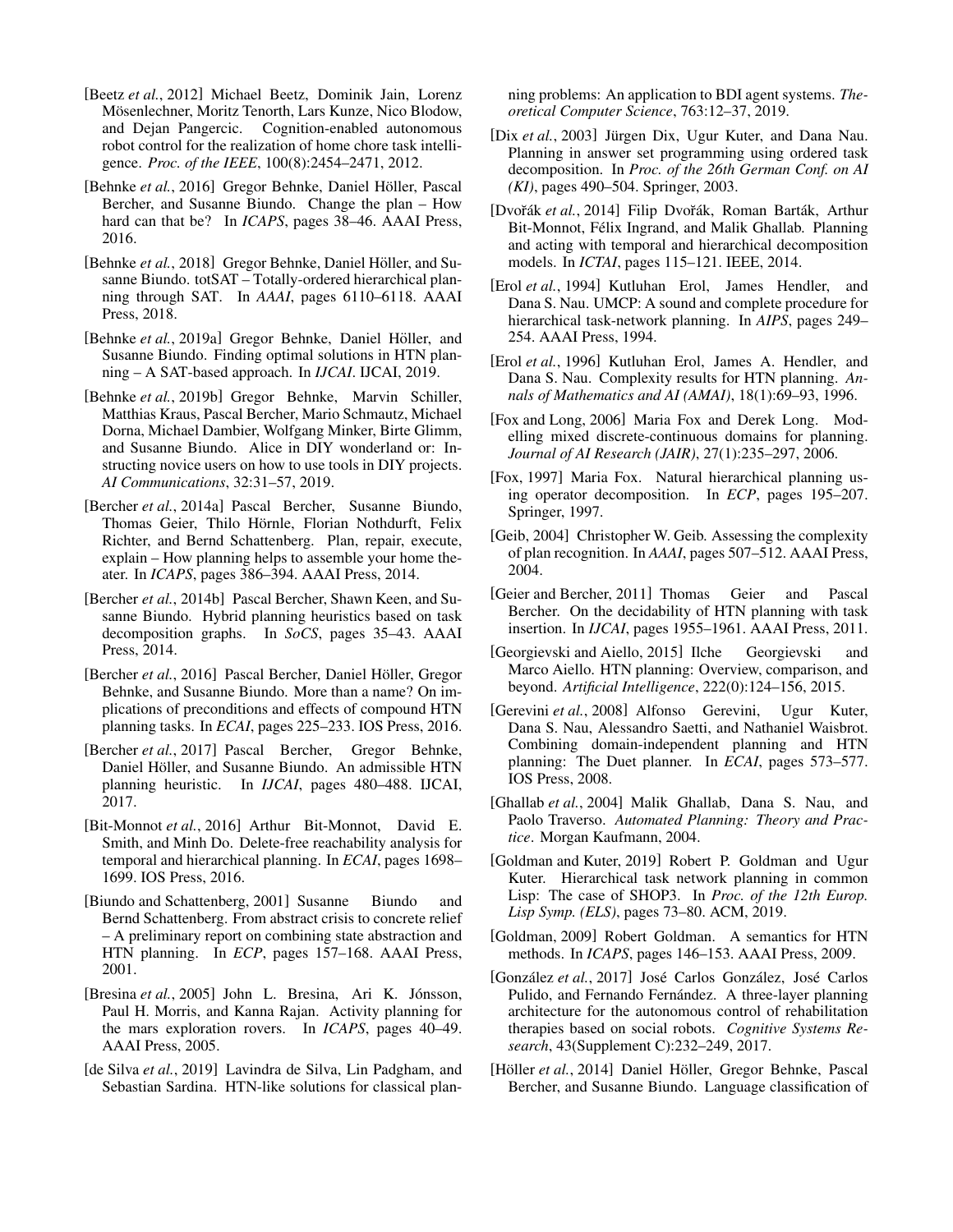- <span id="page-7-0"></span>[Beetz *et al.*, 2012] Michael Beetz, Dominik Jain, Lorenz Mösenlechner, Moritz Tenorth, Lars Kunze, Nico Blodow, and Dejan Pangercic. Cognition-enabled autonomous robot control for the realization of home chore task intelligence. *Proc. of the IEEE*, 100(8):2454–2471, 2012.
- <span id="page-7-8"></span>[Behnke et al., 2016] Gregor Behnke, Daniel Höller, Pascal Bercher, and Susanne Biundo. Change the plan – How hard can that be? In *ICAPS*, pages 38–46. AAAI Press, 2016.
- <span id="page-7-22"></span>[Behnke *et al.*, 2018] Gregor Behnke, Daniel Höller, and Susanne Biundo. totSAT – Totally-ordered hierarchical planning through SAT. In *AAAI*, pages 6110–6118. AAAI Press, 2018.
- <span id="page-7-23"></span>[Behnke *et al.*, 2019a] Gregor Behnke, Daniel Höller, and Susanne Biundo. Finding optimal solutions in HTN planning – A SAT-based approach. In *IJCAI*. IJCAI, 2019.
- <span id="page-7-5"></span>[Behnke *et al.*, 2019b] Gregor Behnke, Marvin Schiller, Matthias Kraus, Pascal Bercher, Mario Schmautz, Michael Dorna, Michael Dambier, Wolfgang Minker, Birte Glimm, and Susanne Biundo. Alice in DIY wonderland or: Instructing novice users on how to use tools in DIY projects. *AI Communications*, 32:31–57, 2019.
- <span id="page-7-4"></span>[Bercher *et al.*, 2014a] Pascal Bercher, Susanne Biundo, Thomas Geier, Thilo Hörnle, Florian Nothdurft, Felix Richter, and Bernd Schattenberg. Plan, repair, execute, explain – How planning helps to assemble your home theater. In *ICAPS*, pages 386–394. AAAI Press, 2014.
- <span id="page-7-17"></span>[Bercher *et al.*, 2014b] Pascal Bercher, Shawn Keen, and Susanne Biundo. Hybrid planning heuristics based on task decomposition graphs. In *SoCS*, pages 35–43. AAAI Press, 2014.
- <span id="page-7-14"></span>[Bercher et al., 2016] Pascal Bercher, Daniel Höller, Gregor Behnke, and Susanne Biundo. More than a name? On implications of preconditions and effects of compound HTN planning tasks. In *ECAI*, pages 225–233. IOS Press, 2016.
- <span id="page-7-18"></span>[Bercher *et al.*, 2017] Pascal Bercher, Gregor Behnke, Daniel Höller, and Susanne Biundo. An admissible HTN planning heuristic. In *IJCAI*, pages 480–488. IJCAI, 2017.
- <span id="page-7-20"></span>[Bit-Monnot *et al.*, 2016] Arthur Bit-Monnot, David E. Smith, and Minh Do. Delete-free reachability analysis for temporal and hierarchical planning. In *ECAI*, pages 1698– 1699. IOS Press, 2016.
- <span id="page-7-26"></span>[Biundo and Schattenberg, 2001] Susanne Biundo and Bernd Schattenberg. From abstract crisis to concrete relief – A preliminary report on combining state abstraction and HTN planning. In *ECP*, pages 157–168. AAAI Press, 2001.
- <span id="page-7-2"></span>[Bresina et al., 2005] John L. Bresina, Ari K. Jónsson, Paul H. Morris, and Kanna Rajan. Activity planning for the mars exploration rovers. In *ICAPS*, pages 40–49. AAAI Press, 2005.
- <span id="page-7-7"></span>[de Silva *et al.*, 2019] Lavindra de Silva, Lin Padgham, and Sebastian Sardina. HTN-like solutions for classical plan-

ning problems: An application to BDI agent systems. *Theoretical Computer Science*, 763:12–37, 2019.

- <span id="page-7-21"></span>[Dix et al., 2003] Jürgen Dix, Ugur Kuter, and Dana Nau. Planning in answer set programming using ordered task decomposition. In *Proc. of the 26th German Conf. on AI (KI)*, pages 490–504. Springer, 2003.
- <span id="page-7-19"></span>[Dvořák et al., 2014] Filip Dvořák, Roman Barták, Arthur Bit-Monnot, Félix Ingrand, and Malik Ghallab. Planning and acting with temporal and hierarchical decomposition models. In *ICTAI*, pages 115–121. IEEE, 2014.
- <span id="page-7-15"></span>[Erol *et al.*, 1994] Kutluhan Erol, James Hendler, and Dana S. Nau. UMCP: A sound and complete procedure for hierarchical task-network planning. In *AIPS*, pages 249– 254. AAAI Press, 1994.
- <span id="page-7-12"></span>[Erol *et al.*, 1996] Kutluhan Erol, James A. Hendler, and Dana S. Nau. Complexity results for HTN planning. *Annals of Mathematics and AI (AMAI)*, 18(1):69–93, 1996.
- <span id="page-7-27"></span>[Fox and Long, 2006] Maria Fox and Derek Long. Modelling mixed discrete-continuous domains for planning. *Journal of AI Research (JAIR)*, 27(1):235–297, 2006.
- <span id="page-7-9"></span>[Fox, 1997] Maria Fox. Natural hierarchical planning using operator decomposition. In *ECP*, pages 195–207. Springer, 1997.
- <span id="page-7-10"></span>[Geib, 2004] Christopher W. Geib. Assessing the complexity of plan recognition. In *AAAI*, pages 507–512. AAAI Press, 2004.
- <span id="page-7-13"></span>[Geier and Bercher, 2011] Thomas Geier and Pascal Bercher. On the decidability of HTN planning with task insertion. In *IJCAI*, pages 1955–1961. AAAI Press, 2011.
- <span id="page-7-3"></span>[Georgievski and Aiello, 2015] Ilche Georgievski and Marco Aiello. HTN planning: Overview, comparison, and beyond. *Artificial Intelligence*, 222(0):124–156, 2015.
- <span id="page-7-25"></span>[Gerevini *et al.*, 2008] Alfonso Gerevini, Ugur Kuter, Dana S. Nau, Alessandro Saetti, and Nathaniel Waisbrot. Combining domain-independent planning and HTN planning: The Duet planner. In *ECAI*, pages 573–577. IOS Press, 2008.
- <span id="page-7-6"></span>[Ghallab *et al.*, 2004] Malik Ghallab, Dana S. Nau, and Paolo Traverso. *Automated Planning: Theory and Practice*. Morgan Kaufmann, 2004.
- <span id="page-7-16"></span>[Goldman and Kuter, 2019] Robert P. Goldman and Ugur Kuter. Hierarchical task network planning in common Lisp: The case of SHOP3. In *Proc. of the 12th Europ. Lisp Symp. (ELS)*, pages 73–80. ACM, 2019.
- <span id="page-7-24"></span>[Goldman, 2009] Robert Goldman. A semantics for HTN methods. In *ICAPS*, pages 146–153. AAAI Press, 2009.
- <span id="page-7-1"></span>[González et al., 2017] José Carlos González, José Carlos Pulido, and Fernando Fernández. A three-layer planning architecture for the autonomous control of rehabilitation therapies based on social robots. *Cognitive Systems Research*, 43(Supplement C):232–249, 2017.
- <span id="page-7-11"></span>[Höller et al., 2014] Daniel Höller, Gregor Behnke, Pascal Bercher, and Susanne Biundo. Language classification of